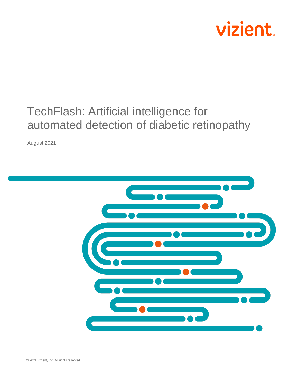

# TechFlash: Artificial intelligence for automated detection of diabetic retinopathy

August 2021

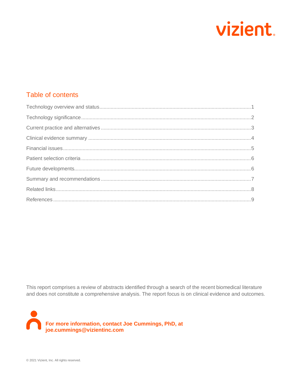

## Table of contents

This report comprises a review of abstracts identified through a search of the recent biomedical literature and does not constitute a comprehensive analysis. The report focus is on clinical evidence and outcomes.

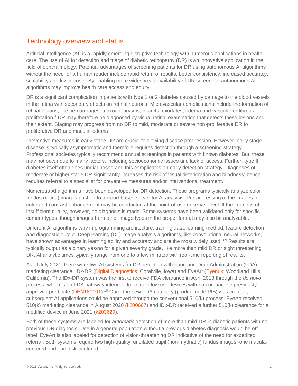#### <span id="page-2-0"></span>Technology overview and status

Artificial intelligence (AI) is a rapidly emerging disruptive technology with numerous applications in health care. The use of AI for detection and triage of diabetic retinopathy (DR) is an innovative application in the field of ophthalmology. Potential advantages of screening patients for DR using autonomous AI algorithms without the need for a human reader include rapid return of results, better consistency, increased accuracy, scalability and lower costs. By enabling more widespread availability of DR screening, autonomous AI algorithms may improve health care access and equity.

DR is a significant complication in patients with type 1 or 2 diabetes caused by damage to the blood vessels in the retina with secondary effects on retinal neurons. Microvascular complications include the formation of retinal lesions, like hemorrhages, microaneurysms, infarcts, exudates, edema and vascular or fibrous proliferation.[1](#page-10-1) DR may therefore be diagnosed by visual retinal examination that detects these lesions and their extent. Staging may progress from no DR to mild, moderate or severe non-proliferative DR to proliferative DR and macular edema.<sup>[2](#page-10-2)</sup>

Preventive measures in early stage DR are crucial to slowing disease progression. However, early stage disease is typically asymptomatic and therefore requires detection through a screening strategy. Professional societies typically recommend annual screenings in patients with known diabetes. But, these may not occur due to many factors, including socioeconomic issues and lack of access. Further, type II diabetes itself often goes undiagnosed and this complicates an early detection strategy. Diagnoses of moderate or higher stage DR significantly increases the risk of visual deterioration and blindness; hence requires referral to a specialist for preventive measures and/or interventional treatment.

Numerous AI algorithms have been developed for DR detection. These programs typically analyze color fundus (retina) images pushed to a cloud-based server for AI analysis. Pre-processing of the images for color and contrast-enhancement may be conducted at the point-of-use or server level. If the image is of insufficient quality, however, no diagnosis is made. Some systems have been validated only for specific camera types, though images from other image types in the proper format may also be analyzable.

Different AI algorithms vary in programming architecture, training data, learning method, feature detection and diagnostic output. Deep learning (DL) image analysis algorithms, like convolutional neural networks, have shown advantages in learning ability and accuracy and are the most widely used.<sup>[3-9](#page-10-3)</sup> Results are typically output as a binary yes/no for a given severity grade, like more than mild DR or sight threatening DR. AI analytic times typically range from one to a few minutes with real-time reporting of results.

As of July 2021, there were two AI systems for DR detection with Food and Drug Administration (FDA) marketing clearance: IDx-DR [\(Digital Diagnostics;](https://www.digitaldiagnostics.com/) Coralville, Iowa) and EyeArt [\(Eyenuk;](https://www.eyenuk.com/us-en/) Woodland Hills, California). The IDx-DR system was the first to receive FDA clearance in April 2018 through the *de novo* process, which is an FDA pathway intended for certain low risk devices with no comparable previously approved predicate [\(DEN180001\)](https://www.accessdata.fda.gov/scripts/cdrh/cfdocs/cfpmn/denovo.cfm?id=DEN180001).<sup>[10](#page-10-4)</sup> Once the new FDA category (product code PIB) was created, subsequent AI applications could be approved through the conventional 510(k) process. EyeArt received 510(k) marketing clearance in August 2020 [\(k200667\)](https://www.accessdata.fda.gov/cdrh_docs/pdf20/K200667.pdf) and IDx-DR received a further 510(k) clearance for a modified device in June 2021 [\(k203629\)](https://www.accessdata.fda.gov/cdrh_docs/pdf20/K203629.pdf).

Both of these systems are labeled for *automatic* detection of more than mild DR in diabetic patients with no previous DR diagnosis. Use in a general population without a previous diabetes diagnosis would be offlabel. EyeArt is also labeled for detection of vision-threatening DR indicative of the need for expedited referral. Both systems require two high-quality, undilated pupil (non-mydriatic) fundus images -one maculacentered and one disk-centered.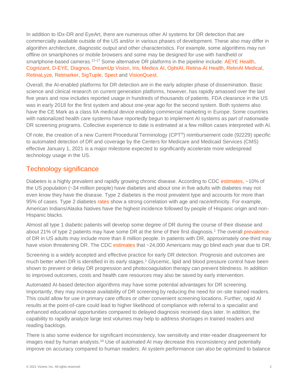In addition to IDx-DR and EyeArt, there are numerous other AI systems for DR detection that are commercially available outside of the US and/or in various phases of development. These also may differ in algorithm architecture, diagnostic output and other characteristics. For example, some algorithms may run offline on smartphones or mobile browsers and some may be designed for use with handheld or smartphone-based cameras.<sup>[11-17](#page-10-5)</sup> Some alternative DR platforms in the pipeline include: [AEYE Health,](https://www.aeyehealth.com/) [Cognizant,](https://www.cognizant.com/whitepapers/how-ai-enhances-and-accelerates-diabetic-retinopathy-detection-codex2972.pdf) [D-EYE,](https://www.d-eyecare.com/en_US) [Diagnos,](http://www.diagnos.ca/) [DreamUp Vision,](https://www.crunchbase.com/organization/dreamup-vision) [Iris,](https://retinalscreenings.com/) [Medios AI,](https://www.remidio.com/medios.php) [OphtAI,](https://www.ophtai.com/en/) [Retina-AI Health,](https://www.retinahealth.ai/) [RetinAI Medical,](https://www.retinai.com/) [RetinaLyze,](https://www.retinalyze.com/) [Retmarker,](https://www.retmarker.com/) [SigTuple,](SigTuple%20Technologies) [Spect](https://www.getspect.com/) an[d VisionQuest.](https://www.visionquest-bio.com/)

Overall, the AI-enabled platforms for DR detection are in the early adopter phase of dissemination. Basic science and clinical research on current generation platforms, however, has rapidly amassed over the last five years and now includes reported usage in hundreds of thousands of patients. FDA clearance in the US was in early 2018 for the first system and about one-year ago for the second system. Both systems also have the CE Mark as a class IIA medical device enabling commercial marketing in Europe. Some countries with nationalized health care systems have reportedly begun to implement AI systems as part of nationwide DR screening programs. Collective experience to date is estimated at a few million cases interpreted with AI.

Of note, the creation of a new Current Procedural Terminology (CPT®) reimbursement code (92229) specific to automated detection of DR and coverage by the Centers for Medicare and Medicaid Services (CMS) effective January 1, 2021 is a major milestone expected to significantly accelerate more widespread technology usage in the US.

#### <span id="page-3-0"></span>Technology significance

Diabetes is a highly prevalent and rapidly growing chronic disease. According to CDC [estimates,](https://www.cdc.gov/diabetes/pdfs/data/statistics/national-diabetes-statistics-report.pdf) ~10% of the US population (~34 million people) have diabetes and about one in five adults with diabetes may not even know they have the disease. Type 2 diabetes is the most prevalent type and accounts for more than 95% of cases. Type 2 diabetes [rates](https://www.diabetes.org/resources/statistics/statistics-about-diabetes) show a strong correlation with age and race/ethnicity. For example, American Indians/Alaska Natives have the highest incidence followed by people of Hispanic origin and non-Hispanic blacks.

Almost all type 1 diabetic patients will develop some degree of DR during the course of their disease and about 2[1](#page-10-1)% of type 2 patients may have some DR at the time of their first diagnosis.<sup>1</sup> The overall **prevalence** of DR in US adults may include more than 8 million people. In patients with DR, approximately one-third may have vision threatening DR. The CDC [estimates](https://www.cdc.gov/visionhealth/projects/economic_studies.htm#:~:text=Diabetic%20retinopathy%20is%20a%20major,received%20an%20annual%20eye%20examination.) that ~24,000 Americans may go blind each year due to DR.

Screening is a widely accepted and effective practice for early DR detection. Prognosis and outcomes are much better when DR is identified in its early stages.<sup>[1](#page-10-1)</sup> Glycemic, lipid and blood pressure control have been shown to prevent or delay DR progression and photocoagulation therapy can prevent blindness. In addition to improved outcomes, costs and health care resources may also be saved by early intervention.

Automated AI-based detection algorithms may have some potential advantages for DR screening. Importantly, they may increase availability of DR screening by reducing the need for on-site trained readers. This could allow for use in primary care offices or other convenient screening locations. Further, rapid AI results at the point-of-care could lead to higher likelihood of compliance with referral to a specialist and enhanced educational opportunities compared to delayed diagnosis received days later. In addition, the capability to rapidly analyze large test volumes may help to address shortages in trained readers and reading backlogs.

There is also some evidence for significant inconsistency, low sensitivity and inter-reader disagreement for images read by human analysts.[18](#page-10-6) Use of automated AI may decrease this inconsistency and potentially improve on accuracy compared to human readers. AI system performance can also be optimized to balance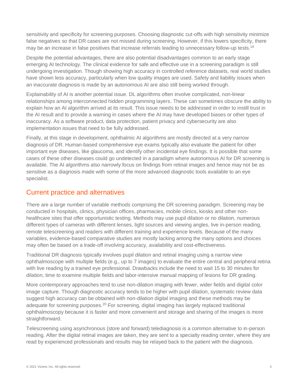sensitivity and specificity for screening purposes. Choosing diagnostic cut-offs with high sensitivity minimize false negatives so that DR cases are not missed during screening. However, if this lowers specificity, there may be an increase in false positives that increase referrals leading to unnecessary follow-up tests.[19](#page-11-0)

Despite the potential advantages, there are also potential disadvantages common to an early stage emerging AI technology. The clinical evidence for safe and effective use in a screening paradigm is still undergoing investigation. Though showing high accuracy in controlled reference datasets, real world studies have shown less accuracy, particularly when low quality images are used. Safety and liability issues when an inaccurate diagnosis is made by an autonomous AI are also still being worked through.

Explainability of AI is another potential issue. DL algorithms often involve complicated, non-linear relationships among interconnected hidden programming layers. These can sometimes obscure the ability to explain how an AI algorithm arrived at its result. This issue needs to be addressed in order to instill trust in the AI result and to provide a warning in cases where the AI may have developed biases or other types of inaccuracy. As a software product, data protection, patient privacy and cybersecurity are also implementation issues that need to be fully addressed.

Finally, at this stage in development, ophthalmic AI algorithms are mostly directed at a very narrow diagnosis of DR. Human-based comprehensive eye exams typically also evaluate the patient for other important eye diseases, like glaucoma, and identify other incidental eye findings. It is possible that some cases of these other diseases could go undetected in a paradigm where autonomous AI for DR screening is available. The AI algorithms also narrowly focus on findings from retinal images and hence may not be as sensitive as a diagnosis made with some of the more advanced diagnostic tools available to an eye specialist.

#### <span id="page-4-0"></span>Current practice and alternatives

There are a large number of variable methods comprising the DR screening paradigm. Screening may be conducted in hospitals, clinics, physician offices, pharmacies, mobile clinics, kiosks and other nonhealthcare sites that offer opportunistic testing. Methods may use pupil dilation or no dilation, numerous different types of cameras with different lenses, light sources and viewing angles, live in-person reading, remote telescreening and readers with different training and experience levels. Because of the many variables, evidence-based comparative studies are mostly lacking among the many options and choices may often be based on a trade-off involving accuracy, availability and cost-effectiveness.

Traditional DR diagnosis typically involves pupil dilation and retinal imaging using a narrow view ophthalmoscope with multiple fields (e.g., up to 7 images) to evaluate the entire central and peripheral retina with live reading by a trained eye professional. Drawbacks include the need to wait 15 to 30 minutes for dilation, time to examine multiple fields and labor-intensive manual mapping of lesions for DR grading.

More contemporary approaches tend to use non-dilation imaging with fewer, wider fields and digital color image capture. Though diagnostic accuracy tends to be higher with pupil dilation, systematic review data suggest high accuracy can be obtained with non-dilation digital imaging and these methods may be adequate for screening purposes.<sup>[20](#page-11-1)</sup> For screening, digital imaging has largely replaced traditional ophthalmoscopy because it is faster and more convenient and storage and sharing of the images is more straightforward.

Telescreening using asynchronous (store and forward) telediagnosis is a common alternative to in-person reading. After the digital retinal images are taken, they are sent to a specialty reading center, where they are read by experienced professionals and results may be relayed back to the patient with the diagnosis.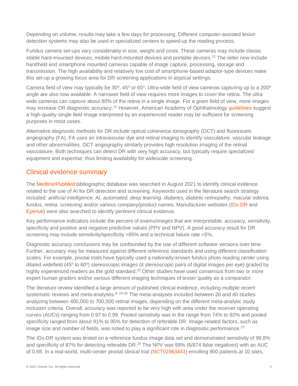Depending on volume, results may take a few days for processing. Different computer-assisted lesion detection systems may also be used in specialized centers to speed-up the reading process.

Fundus camera set-ups vary considerably in size, weight and costs. These cameras may include classic stable hard-mounted devices, mobile hard-mounted devices and portable devices.<sup>[21](#page-11-2)</sup> The latter now include handheld and smartphone mounted cameras capable of image capture, processing, storage and transmission. The high availability and relatively low cost of smartphone-based adaptor-type devices make this set-up a growing focus area for DR screening applications in atypical settings.

Camera field of view may typically be 30 $^{\circ}$ , 45 $^{\circ}$  or 60 $^{\circ}$ . Ultra-wide field of view cameras capturing up to a 200 $^{\circ}$ angle are also now available. A narrower field of view requires more images to cover the retina. The ultra wide cameras can capture about 80% of the retina in a single image. For a given field of view, more images may increase DR diagnostic accuracy.<sup>[22](#page-11-3)</sup> However, American Academy of Ophthalmology quidelines suggest a high-quality single field image interpreted by an experienced reader may be sufficient for screening purposes in most cases.

Alternative diagnostic methods for DR include optical coherence tomography (OCT) and fluorescein angiography (FA). FA uses an intravascular dye and retinal imaging to identify vasculature, vascular leakage and other abnormalities. OCT angiography similarly provides high resolution imaging of the retinal vasculature. Both techniques can detect DR with very high accuracy, but typically require specialized equipment and expertise; thus limiting availability for widescale screening.

#### <span id="page-5-0"></span>Clinical evidence summary

The [Medline/PubMed](https://www.ncbi.nlm.nih.gov/pubmed) bibliographic database was searched in August 2021 to identify clinical evidence related to the use of AI for DR detection and screening. Keywords used in the literature search strategy included*: artificial intelligence, AI, automated, deep learning, diabetes, diabetic retinopathy, macular edema, fundus, retina, screening* and/or various company/product names. Manufacturer websites [\(IDx-DR](https://www.digitaldiagnostics.com/resources/publications-and-studies) and [Eyenuk\)](https://www.eyenuk.com/us-en/clinical-evidence/) were also searched to identify pertinent clinical evidence.

Key performance indicators include the percent of exams/images that are interpretable, accuracy, sensitivity, specificity and positive and negative predictive values (PPV and NPV). A good accuracy result for DR screening may include sensitivity/specificity >85% and a technical failure rate <5%.

Diagnostic accuracy conclusions may be confounded by the use of different software versions over time. Further, accuracy may be measured against different reference standards and using different classification scales. For example, pivotal trials have typically used a nationally-known fundus photo reading center using dilated widefield (45° to 60°) stereoscopic images (4 stereoscopic pairs of digital images per eye) graded by highly experienced readers as the gold standard.<sup>[23](#page-11-4)</sup> Other studies have used consensus from two or more expert human graders and/or various different imaging techniques of lesser quality as a comparator.

The literature review identified a large amount of published clinical evidence, including multiple recent systematic reviews and meta-analyses. $8, 24-26$  $8, 24-26$  The meta-analyses included between 20 and 40 studies analyzing between 400,000 to 700,000 retinal images, depending on the different meta-analytic study inclusion criteria. Overall, accuracy was reported to be very high with area under the receiver operating curves (AUCs) ranging from 0.97 to 0.99. Pooled sensitivity was in the range from 74% to 92% and pooled specificity ranged from about 91% to 95% for detection of referable DR. Image-related factors, such as image size and number of fields, was noted to play a significant role in diagnostic performance.<sup>[27](#page-11-6)</sup>

The IDx-DR system was tested on a reference fundus image data set and demonstrated sensitivity of 96.8% and specificity of 87% for detecting referable DR.<sup>[28](#page-11-7)</sup> The NPV was 99% (6/874 false negatives) with an AUC of 0.98. In a real-world, multi-center pivotal clinical trial [\(NCT02963441\)](https://clinicaltrials.gov/ct2/show/NCT02963441) enrolling 900 patients at 10 sites,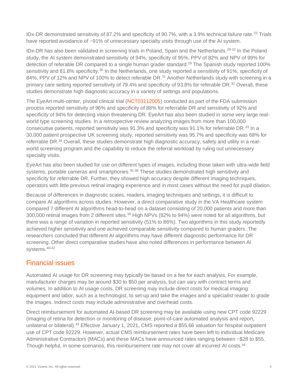IDx-DR demonstrated sensitivity of 87.2% and specificity of 90.7%, with a 3.9% technical failure rate.<sup>[23](#page-11-4)</sup> Trials have reported avoidance of ~91% of unnecessary specialty visits through use of the AI system.

IDx-DR has also been validated in screening trials in Poland, Spain and the Netherlands.[29-32](#page-11-8) In the Poland study, the AI system demonstrated sensitivity of 94%, specificity of 95%, PPV of 82% and NPV of 99% for detection of referable DR compared to a single human grader standard.<sup>[29](#page-11-8)</sup> The Spanish study reported 100% sensitivity and 81.8% specificity.<sup>[30](#page-11-9)</sup> In the Netherlands, one study reported a sensitivity of 91%, specificity of 84%, PPV of 12% and NPV of 100% to detect referable DR.<sup>[31](#page-11-10)</sup> Another Netherlands study with screening in a primary care setting reported sensitivity of 79.4% and specificity of 93.8% for referable DR.<sup>[32](#page-11-11)</sup> Overall, these studies demonstrate high diagnostic accuracy in a variety of settings and populations.

The EyeArt multi-center, pivotal clinical trial [\(NCT03112005\)](https://clinicaltrials.gov/ct2/show/NCT03112005) conducted as part of the FDA submission process reported sensitivity of 96% and specificity of 88% for referrable DR and sensitivity of 92% and specificity of 94% for detecting vision threatening DR. EyeArt has also been studied in some very large realworld type screening studies. In a retrospective review analyzing images from more than 100,000 consecutive patients, reported sensitivity was 91.3% and specificity was 91.1% for referrable DR.<sup>[33](#page-11-12)</sup> In a 30,000 patient prospective UK screening study, reported sensitivity was 95.7% and specificity was 68% for referrable DR.<sup>[34](#page-11-13)</sup> Overall, these studies demonstrate high diagnostic accuracy, safety and utility in a realworld screening program and the capability to reduce the referral workload by ruling out unnecessary specialty visits.

EyeArt has also been studied for use on different types of images, including those taken with ultra-wide field systems, portable cameras and smartphones.<sup>[35-38](#page-11-14)</sup> These studies demonstrated high sensitivity and specificity for referrable DR. Further, they showed high accuracy despite different imaging techniques, operators with little previous retinal imaging experience and in most cases without the need for pupil dilation.

Because of differences in diagnostic scales, readers, imaging techniques and settings, it is difficult to compare AI algorithms across studies. However, a direct comparative study in the VA Healthcare system compared 7 different AI algorithms head-to-head on a dataset consisting of 20,000 patients and more than 300,000 retinal images from 2 different sites.<sup>[39](#page-12-0)</sup> High NPVs (82% to 94%) were noted for all algorithms, but there was a range of variation in reported sensitivity (51% to 86%). Two algorithms in this study reportedly achieved higher sensitivity and one achieved comparable sensitivity compared to human graders. The researchers concluded that different AI algorithms may have different diagnostic performance for DR screening. Other direct comparative studies have also noted differences in performance between AI systems.[40-42](#page-12-1)

#### <span id="page-6-0"></span>Financial issues

Automated AI usage for DR screening may typically be based on a fee for each analysis. For example, manufacturer charges may be around \$30 to \$50 per analysis, but can vary with contract terms and volumes. In addition to AI usage costs, DR screening may include direct costs for medical imaging equipment and labor, such as a technologist, to set-up and take the images and a specialist reader to grade the images. Indirect costs may include administrative and overhead costs.

Direct reimbursement for automated AI-based DR screening may be available using new CPT code 92229 (imaging of retina for detection or monitoring of disease; point-of-care automated analysis and report, unilateral or bilateral).<sup>[43](#page-12-2)</sup> Effective January 1, 2021, CMS reported a \$55.66 valuation for hospital outpatient use of CPT code 92229. However, actual CMS reimbursement rates have been left to individual Medicare Administrative Contractors (MACs) and these MACs have announced rates ranging between ~\$28 to \$55. Though helpful, in some scenarios, this reimbursement rate may not cover all incurred AI costs.<sup>[44](#page-12-3)</sup>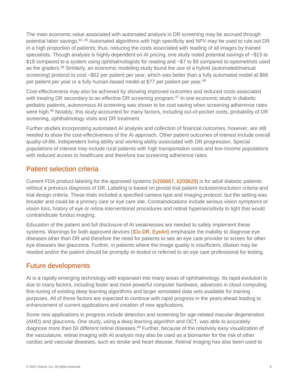The main economic value associated with automated analysis in DR screening may be accrued through potential labor savings.[42,](#page-12-4) [45](#page-12-5) Automated algorithms with high specificity and NPV may be used to rule out DR in a high proportion of patients; thus, reducing the costs associated with reading of all images by trained specialists. Though analysis is highly dependent on AI pricing, one study noted potential savings of ~\$15 to \$18 compared to a system using ophthalmologists for reading and ~\$7 to \$9 compared to optometrists used as the graders.<sup>[39](#page-12-0)</sup> Similarly, an economic modeling study found the use of a hybrid (automated/manual screening) protocol to cost ~\$62 per patient per year, which was better than a fully automated model at \$66 per patient per year or a fully human-based model at \$77 per patient per year.<sup>[46](#page-12-6)</sup>

Cost-effectiveness may also be achieved by showing improved outcomes and reduced costs associated with treating DR secondary to an effective DR screening program.<sup>[47](#page-12-7)</sup> In one economic study in diabetic pediatric patients, autonomous AI screening was shown to be cost saving when screening adherence rates were high.<sup>[48](#page-12-8)</sup> Notably, this study accounted for many factors, including out-of-pocket costs, probability of DR screening, ophthalmology visits and DR treatment.

Further studies incorporating automated AI analysis and collection of financial outcomes, however, are still needed to show the cost-effectiveness of the AI approach. Other patient outcomes of interest include overall quality-of-life, independent living ability and working ability associated with DR progression. Special populations of interest may include rural patients with high transportation costs and low-income populations with reduced access to healthcare and therefore low screening adherence rates.

#### <span id="page-7-0"></span>Patient selection criteria

Current FDA product labeling for the approved systems [\(k200667,](https://www.accessdata.fda.gov/cdrh_docs/pdf20/K200667.pdf) [k203629\)](https://www.accessdata.fda.gov/cdrh_docs/pdf20/K203629.pdf) is for adult diabetic patients without a previous diagnosis of DR. Labeling is based on pivotal trial patient inclusion/exclusion criteria and trial design criteria. These trials included a specified camera type and imaging protocol, but the setting was broader and could be a primary care or eye care site. Contraindications include serious vision symptoms or vision loss, history of eye or retina interventional procedures and retinal hypersensitivity to light that would contraindicate fundus imaging.

Education of the patient and full disclosure of AI weaknesses are needed to safely implement these systems. Warnings for both approved devices [\(IDx-DR,](https://www.digitaldiagnostics.com/products/eye-disease/indications-for-use/) [EyeArt\)](https://cdn.eyenuk.com/wp-content/uploads/2020/08/K200667-labeling-EyeArt_IFU_Warnings_Aug4.pdf) emphasize the inability to diagnose eye diseases other than DR and therefore the need for patients to see an eye care provider to screen for other eye diseases like glaucoma. Further, in patients where the image quality is insufficient, dilation may be needed and/or the patient should be promptly re-tested or referred to an eye care professional for testing.

#### <span id="page-7-1"></span>Future developments

AI is a rapidly emerging technology with expansion into many areas of ophthalmology. Its rapid evolution is due to many factors, including faster and more powerful computer hardware, advances in cloud computing, fine-tuning of existing deep learning algorithms and larger annotated data sets available for training purposes. All of these factors are expected to continue with rapid progress in the years ahead leading to enhancement of current applications and creation of new applications.

Some new applications in progress include detection and screening for age-related macular degeneration (AMD) and glaucoma. One study, using a deep learning algorithm and OCT, was able to accurately diagnose more than 50 different retinal diseases.<sup>[49](#page-12-9)</sup> Further, because of the relatively easy visualization of the vasculature, retinal imaging with AI analysis may also be used as a biomarker for the risk of other cardiac and vascular diseases, such as stroke and heart disease. Retinal imaging has also been used to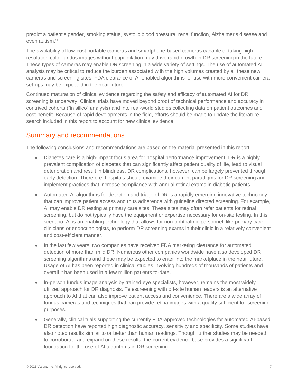predict a patient's gender, smoking status, systolic blood pressure, renal function, Alzheimer's disease and even autism.[50](#page-12-10)

The availability of low-cost portable cameras and smartphone-based cameras capable of taking high resolution color fundus images without pupil dilation may drive rapid growth in DR screening in the future. These types of cameras may enable DR screening in a wide variety of settings. The use of automated AI analysis may be critical to reduce the burden associated with the high volumes created by all these new cameras and screening sites. FDA clearance of AI-enabled algorithms for use with more convenient camera set-ups may be expected in the near future.

Continued maturation of clinical evidence regarding the safety and efficacy of automated AI for DR screening is underway. Clinical trials have moved beyond proof of technical performance and accuracy in contrived cohorts ("in silico" analysis) and into real-world studies collecting data on patient outcomes and cost-benefit. Because of rapid developments in the field, efforts should be made to update the literature search included in this report to account for new clinical evidence.

#### <span id="page-8-0"></span>Summary and recommendations

The following conclusions and recommendations are based on the material presented in this report:

- Diabetes care is a high-impact focus area for hospital performance improvement. DR is a highly prevalent complication of diabetes that can significantly affect patient quality of life, lead to visual deterioration and result in blindness. DR complications, however, can be largely prevented through early detection. Therefore, hospitals should examine their current paradigms for DR screening and implement practices that increase compliance with annual retinal exams in diabetic patients.
- Automated AI algorithms for detection and triage of DR is a rapidly emerging innovative technology that can improve patient access and thus adherence with guideline directed screening. For example, AI may enable DR testing at primary care sites. These sites may often refer patients for retinal screening, but do not typically have the equipment or expertise necessary for on-site testing. In this scenario, AI is an enabling technology that allows for non-ophthalmic personnel, like primary care clinicians or endocrinologists, to perform DR screening exams in their clinic in a relatively convenient and cost-efficient manner.
- In the last few years, two companies have received FDA marketing clearance for automated detection of more than mild DR. Numerous other companies worldwide have also developed DR screening algorithms and these may be expected to enter into the marketplace in the near future. Usage of AI has been reported in clinical studies involving hundreds of thousands of patients and overall it has been used in a few million patients to-date.
- In-person fundus image analysis by trained eye specialists, however, remains the most widely utilized approach for DR diagnosis. Telescreening with off-site human readers is an alternative approach to AI that can also improve patient access and convenience. There are a wide array of fundus cameras and techniques that can provide retina images with a quality sufficient for screening purposes.
- Generally, clinical trials supporting the currently FDA-approved technologies for automated AI-based DR detection have reported high diagnostic accuracy, sensitivity and specificity. Some studies have also noted results similar to or better than human readings. Though further studies may be needed to corroborate and expand on these results, the current evidence base provides a significant foundation for the use of AI algorithms in DR screening.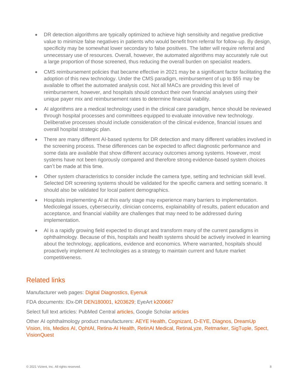- DR detection algorithms are typically optimized to achieve high sensitivity and negative predictive value to minimize false negatives in patients who would benefit from referral for follow-up. By design, specificity may be somewhat lower secondary to false positives. The latter will require referral and unnecessary use of resources. Overall, however, the automated algorithms may accurately rule out a large proportion of those screened, thus reducing the overall burden on specialist readers.
- CMS reimbursement policies that became effective in 2021 may be a significant factor facilitating the adoption of this new technology. Under the CMS paradigm, reimbursement of up to \$55 may be available to offset the automated analysis cost. Not all MACs are providing this level of reimbursement, however, and hospitals should conduct their own financial analyses using their unique payer mix and reimbursement rates to determine financial viability.
- AI algorithms are a medical technology used in the clinical care paradigm, hence should be reviewed through hospital processes and committees equipped to evaluate innovative new technology. Deliberative processes should include consideration of the clinical evidence, financial issues and overall hospital strategic plan.
- There are many different AI-based systems for DR detection and many different variables involved in the screening process. These differences can be expected to affect diagnostic performance and some data are available that show different accuracy outcomes among systems. However, most systems have not been rigorously compared and therefore strong evidence-based system choices can't be made at this time.
- Other system characteristics to consider include the camera type, setting and technician skill level. Selected DR screening systems should be validated for the specific camera and setting scenario. It should also be validated for local patient demographics.
- Hospitals implementing AI at this early stage may experience many barriers to implementation. Medicolegal issues, cybersecurity, clinician concerns, explainability of results, patient education and acceptance, and financial viability are challenges that may need to be addressed during implementation.
- AI is a rapidly growing field expected to disrupt and transform many of the current paradigms in ophthalmology. Because of this, hospitals and health systems should be actively involved in learning about the technology, applications, evidence and economics. Where warranted, hospitals should proactively implement AI technologies as a strategy to maintain current and future market competitiveness.

### <span id="page-9-0"></span>Related links

Manufacturer web pages: [Digital Diagnostics,](https://www.digitaldiagnostics.com/) [Eyenuk](https://www.eyenuk.com/us-en/)

FDA documents: IDx-DR [DEN180001,](https://www.accessdata.fda.gov/scripts/cdrh/cfdocs/cfpmn/denovo.cfm?id=DEN180001) [k203629;](https://www.accessdata.fda.gov/cdrh_docs/pdf20/K203629.pdf) EyeArt [k200667](https://www.accessdata.fda.gov/cdrh_docs/pdf20/K200667.pdf)

Select full text articles: PubMed Central [articles,](https://www.ncbi.nlm.nih.gov/pmc/?term=diabetic+retinopathy+screening+retina+artificial+intelligence+automated+IDx-DR+EyeArt) Google Scholar [articles](https://scholar.google.com/scholar?hl=en&as_sdt=1%2C14&q=diabetic+retinopathy+screening+retina+artificial+intelligence+automated+IDx-DR+EyeArt+&btnG=)

Other AI ophthalmology product manufacturers: [AEYE Health,](https://www.aeyehealth.com/) [Cognizant,](https://www.cognizant.com/whitepapers/how-ai-enhances-and-accelerates-diabetic-retinopathy-detection-codex2972.pdf) [D-EYE,](https://www.d-eyecare.com/en_US) [Diagnos,](http://www.diagnos.ca/) [DreamUp](https://www.crunchbase.com/organization/dreamup-vision)  [Vision,](https://www.crunchbase.com/organization/dreamup-vision) [Iris,](https://retinalscreenings.com/) [Medios AI,](https://www.remidio.com/medios.php) [OphtAI,](https://www.ophtai.com/en/) [Retina-AI Health,](https://www.retinahealth.ai/) [RetinAI Medical,](https://www.retinai.com/) [RetinaLyze,](https://www.retinalyze.com/) [Retmarker,](https://www.retmarker.com/) [SigTuple,](file:///C:/Users/cummings/Desktop/AI%20diabetic%20retinopathy/SigTuple%20Technologies) [Spect,](https://www.getspect.com/) [VisionQuest](https://www.visionquest-bio.com/)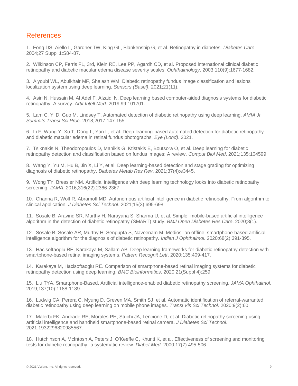#### <span id="page-10-0"></span>**References**

<span id="page-10-1"></span>1. Fong DS, Aiello L, Gardner TW, King GL, Blankenship G, et al. Retinopathy in diabetes. *Diabetes Care*. 2004;27 Suppl 1:S84-87.

<span id="page-10-2"></span>2. Wilkinson CP, Ferris FL, 3rd, Klein RE, Lee PP, Agardh CD, et al. Proposed international clinical diabetic retinopathy and diabetic macular edema disease severity scales. *Ophthalmology*. 2003;110(9):1677-1682.

<span id="page-10-3"></span>3. Alyoubi WL, Abulkhair MF, Shalash WM. Diabetic retinopathy fundus image classification and lesions localization system using deep learning. *Sensors (Basel)*. 2021;21(11).

4. Asiri N, Hussain M, Al Adel F, Alzaidi N. Deep learning based computer-aided diagnosis systems for diabetic retinopathy: A survey. *Artif Intell Med*. 2019;99:101701.

5. Lam C, Yi D, Guo M, Lindsey T. Automated detection of diabetic retinopathy using deep learning. *AMIA Jt Summits Transl Sci Proc*. 2018;2017:147-155.

6. Li F, Wang Y, Xu T, Dong L, Yan L, et al. Deep learning-based automated detection for diabetic retinopathy and diabetic macular edema in retinal fundus photographs. *Eye (Lond)*. 2021.

7. Tsiknakis N, Theodoropoulos D, Manikis G, Ktistakis E, Boutsora O, et al. Deep learning for diabetic retinopathy detection and classification based on fundus images: A review. *Comput Biol Med*. 2021;135:104599.

<span id="page-10-7"></span>8. Wang Y, Yu M, Hu B, Jin X, Li Y, et al. Deep learning-based detection and stage grading for optimizing diagnosis of diabetic retinopathy. *Diabetes Metab Res Rev*. 2021;37(4):e3445.

9. Wong TY, Bressler NM. Artificial intelligence with deep learning technology looks into diabetic retinopathy screening. *JAMA*. 2016;316(22):2366-2367.

<span id="page-10-4"></span>10. Channa R, Wolf R, Abramoff MD. Autonomous artificial intelligence in diabetic retinopathy: From algorithm to clinical application. *J Diabetes Sci Technol*. 2021;15(3):695-698.

<span id="page-10-5"></span>11. Sosale B, Aravind SR, Murthy H, Narayana S, Sharma U, et al. Simple, mobile-based artificial intelligence algorithm in the detection of diabetic retinopathy (SMART) study. *BMJ Open Diabetes Res Care*. 2020;8(1).

12. Sosale B, Sosale AR, Murthy H, Sengupta S, Naveenam M. Medios- an offline, smartphone-based artificial intelligence algorithm for the diagnosis of diabetic retinopathy. *Indian J Ophthalmol*. 2020;68(2):391-395.

13. Hacisoftaoglu RE, Karakaya M, Sallam AB. Deep learning frameworks for diabetic retinopathy detection with smartphone-based retinal imaging systems. *Pattern Recognit Lett*. 2020;135:409-417.

14. Karakaya M, Hacisoftaoglu RE. Comparison of smartphone-based retinal imaging systems for diabetic retinopathy detection using deep learning. *BMC Bioinformatics*. 2020;21(Suppl 4):259.

15. Liu TYA. Smartphone-Based, Artificial intelligence-enabled diabetic retinopathy screening. *JAMA Ophthalmol*. 2019;137(10):1188-1189.

16. Ludwig CA, Perera C, Myung D, Greven MA, Smith SJ, et al. Automatic identification of referral-warranted diabetic retinopathy using deep learning on mobile phone images. *Transl Vis Sci Technol*. 2020;9(2):60.

17. Malerbi FK, Andrade RE, Morales PH, Stuchi JA, Lencione D, et al. Diabetic retinopathy screening using artificial intelligence and handheld smartphone-based retinal camera. *J Diabetes Sci Technol*. 2021:1932296820985567.

<span id="page-10-6"></span>18. Hutchinson A, McIntosh A, Peters J, O'Keeffe C, Khunti K, et al. Effectiveness of screening and monitoring tests for diabetic retinopathy--a systematic review. *Diabet Med*. 2000;17(7):495-506.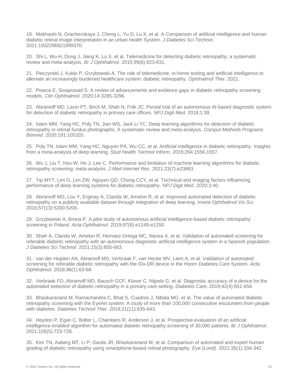<span id="page-11-0"></span>19. Mokhashi N, Grachevskaya J, Cheng L, Yu D, Lu X, et al. A Comparison of artificial intelligence and human diabetic retinal image interpretation in an urban health System. *J Diabetes Sci Technol*. 2021:1932296821999370.

<span id="page-11-1"></span>20. Shi L, Wu H, Dong J, Jiang K, Lu X, et al. Telemedicine for detecting diabetic retinopathy: a systematic review and meta-analysis. *Br J Ophthalmol*. 2015;99(6):823-831.

<span id="page-11-2"></span>21. Pieczynski J, Kuklo P, Grzybowski A. The role of telemedicine, in-home testing and artificial intelligence to alleviate an increasingly burdened healthcare system: diabetic retinopathy. *Ophthalmol Ther*. 2021.

<span id="page-11-3"></span>22. Pearce E, Sivaprasad S. A review of advancements and evidence gaps in diabetic retinopathy screening models. *Clin Ophthalmol*. 2020;14:3285-3296.

<span id="page-11-4"></span>23. Abramoff MD, Lavin PT, Birch M, Shah N, Folk JC. Pivotal trial of an autonomous AI-based diagnostic system for detection of diabetic retinopathy in primary care offices. *NPJ Digit Med*. 2018;1:39.

<span id="page-11-5"></span>24. Islam MM, Yang HC, Poly TN, Jian WS, Jack Li YC. Deep learning algorithms for detection of diabetic retinopathy in retinal fundus photographs: A systematic review and meta-analysis. *Comput Methods Programs Biomed*. 2020;191:105320.

25. Poly TN, Islam MM, Yang HC, Nguyen PA, Wu CC, et al. Artificial intelligence in diabetic retinopathy: Insights from a meta-analysis of deep learning. *Stud Health Technol Inform*. 2019;264:1556-1557.

26. Wu J, Liu T, Hsu W, Ho J, Lee C. Performance and limitation of machine learning algorithms for diabetic retinopathy screening: meta-analysis. *J Med Internet Res*. 2021;23(7):e23863.

<span id="page-11-6"></span>27. Yip MYT, Lim G, Lim ZW, Nguyen QD, Chong CCY, et al. Technical and imaging factors influencing performance of deep learning systems for diabetic retinopathy. *NPJ Digit Med*. 2020;3:40.

<span id="page-11-7"></span>28. Abramoff MD, Lou Y, Erginay A, Clarida W, Amelon R, et al. Improved automated detection of diabetic retinopathy on a publicly available dataset through integration of deep learning. *Invest Ophthalmol Vis Sci*. 2016;57(13):5200-5206.

<span id="page-11-8"></span>29. Grzybowski A, Brona P. A pilot study of autonomous artificial intelligence-based diabetic retinopathy screening in Poland. *Acta Ophthalmol*. 2019;97(8):e1149-e1150.

<span id="page-11-9"></span>30. Shah A, Clarida W, Amelon R, Hernaez-Ortega MC, Navea A, et al. Validation of automated screening for referable diabetic retinopathy with an autonomous diagnostic artificial intelligence system in a Spanish population. *J Diabetes Sci Technol*. 2021;15(3):655-663.

<span id="page-11-10"></span>31. van der Heijden AA, Abramoff MD, Verbraak F, van Hecke MV, Liem A, et al. Validation of automated screening for referable diabetic retinopathy with the IDx-DR device in the Hoorn Diabetes Care System. *Acta Ophthalmol*. 2018;96(1):63-68.

<span id="page-11-11"></span>32. Verbraak FD, Abramoff MD, Bausch GCF, Klaver C, Nijpels G, et al. Diagnostic accuracy of a device for the automated eetection of diabetic retinopathy in a primary care setting. *Diabetes Care*. 2019;42(4):651-656.

<span id="page-11-12"></span>33. Bhaskaranand M, Ramachandra C, Bhat S, Cuadros J, Nittala MG, et al. The value of automated diabetic retinopathy screening with the EyeArt system: A study of more than 100,000 consecutive encounters from people with diabetes. *Diabetes Technol Ther*. 2019;21(11):635-643.

<span id="page-11-13"></span>34. Heydon P, Egan C, Bolter L, Chambers R, Anderson J, et al. Prospective evaluation of an artificial intelligence-enabled algorithm for automated diabetic retinopathy screening of 30,000 patients. *Br J Ophthalmol*. 2021;105(5):723-728.

<span id="page-11-14"></span>35. Kim TN, Aaberg MT, Li P, Davila JR, Bhaskaranand M, et al. Comparison of automated and expert human grading of diabetic retinopathy using smartphone-based retinal photography. *Eye (Lond)*. 2021;35(1):334-342.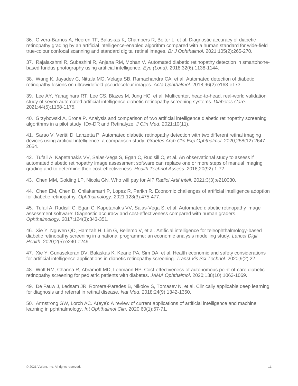36. Olvera-Barrios A, Heeren TF, Balaskas K, Chambers R, Bolter L, et al. Diagnostic accuracy of diabetic retinopathy grading by an artificial intelligence-enabled algorithm compared with a human standard for wide-field true-colour confocal scanning and standard digital retinal images. *Br J Ophthalmol*. 2021;105(2):265-270.

37. Rajalakshmi R, Subashini R, Anjana RM, Mohan V. Automated diabetic retinopathy detection in smartphonebased fundus photography using artificial intelligence. *Eye (Lond)*. 2018;32(6):1138-1144.

38. Wang K, Jayadev C, Nittala MG, Velaga SB, Ramachandra CA, et al. Automated detection of diabetic retinopathy lesions on ultrawidefield pseudocolour images. *Acta Ophthalmol*. 2018;96(2):e168-e173.

<span id="page-12-0"></span>39. Lee AY, Yanagihara RT, Lee CS, Blazes M, Jung HC, et al. Multicenter, head-to-head, real-world validation study of seven automated artificial intelligence diabetic retinopathy screening systems. *Diabetes Care*. 2021;44(5):1168-1175.

<span id="page-12-1"></span>40. Grzybowski A, Brona P. Analysis and comparison of two artificial intelligence diabetic retinopathy screening algorithms in a pilot study: IDx-DR and Retinalyze. *J Clin Med*. 2021;10(11).

41. Sarao V, Veritti D, Lanzetta P. Automated diabetic retinopathy detection with two different retinal imaging devices using artificial intelligence: a comparison study. *Graefes Arch Clin Exp Ophthalmol*. 2020;258(12):2647- 2654.

<span id="page-12-4"></span>42. Tufail A, Kapetanakis VV, Salas-Vega S, Egan C, Rudisill C, et al. An observational study to assess if automated diabetic retinopathy image assessment software can replace one or more steps of manual imaging grading and to determine their cost-effectiveness. *Health Technol Assess*. 2016;20(92):1-72.

<span id="page-12-2"></span>43. Chen MM, Golding LP, Nicola GN. Who will pay for AI? *Radiol Artif Intell*. 2021;3(3):e210030.

<span id="page-12-3"></span>44. Chen EM, Chen D, Chilakamarri P, Lopez R, Parikh R. Economic challenges of artificial intelligence adoption for diabetic retinopathy. *Ophthalmology*. 2021;128(3):475-477.

<span id="page-12-5"></span>45. Tufail A, Rudisill C, Egan C, Kapetanakis VV, Salas-Vega S, et al. Automated diabetic retinopathy image assessment software: Diagnostic accuracy and cost-effectiveness compared with human graders. *Ophthalmology*. 2017;124(3):343-351.

<span id="page-12-6"></span>46. Xie Y, Nguyen QD, Hamzah H, Lim G, Bellemo V, et al. Artificial intelligence for teleophthalmology-based diabetic retinopathy screening in a national programme: an economic analysis modelling study. *Lancet Digit Health*. 2020;2(5):e240-e249.

<span id="page-12-7"></span>47. Xie Y, Gunasekeran DV, Balaskas K, Keane PA, Sim DA, et al. Health economic and safety considerations for artificial intelligence applications in diabetic retinopathy screening. *Transl Vis Sci Technol*. 2020;9(2):22.

<span id="page-12-8"></span>48. Wolf RM, Channa R, Abramoff MD, Lehmann HP. Cost-effectiveness of autonomous point-of-care diabetic retinopathy screening for pediatric patients with diabetes. *JAMA Ophthalmol*. 2020;138(10):1063-1069.

<span id="page-12-9"></span>49. De Fauw J, Ledsam JR, Romera-Paredes B, Nikolov S, Tomasev N, et al. Clinically applicable deep learning for diagnosis and referral in retinal disease. *Nat Med*. 2018;24(9):1342-1350.

<span id="page-12-10"></span>50. Armstrong GW, Lorch AC. A(eye): A review of current applications of artificial intelligence and machine learning in pphthalmology. *Int Ophthalmol Clin*. 2020;60(1):57-71.